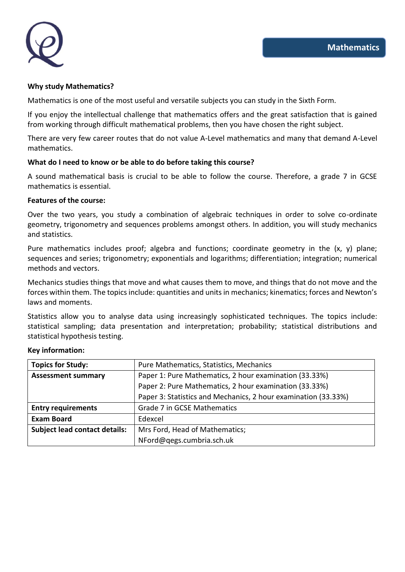

#### **Why study Mathematics?**

Mathematics is one of the most useful and versatile subjects you can study in the Sixth Form.

If you enjoy the intellectual challenge that mathematics offers and the great satisfaction that is gained from working through difficult mathematical problems, then you have chosen the right subject.

There are very few career routes that do not value A-Level mathematics and many that demand A-Level mathematics.

## **What do I need to know or be able to do before taking this course?**

A sound mathematical basis is crucial to be able to follow the course. Therefore, a grade 7 in GCSE mathematics is essential.

## **Features of the course:**

Over the two years, you study a combination of algebraic techniques in order to solve co-ordinate geometry, trigonometry and sequences problems amongst others. In addition, you will study mechanics and statistics.

Pure mathematics includes proof; algebra and functions; coordinate geometry in the  $(x, y)$  plane; sequences and series; trigonometry; exponentials and logarithms; differentiation; integration; numerical methods and vectors.

Mechanics studies things that move and what causes them to move, and things that do not move and the forces within them. The topics include: quantities and units in mechanics; kinematics; forces and Newton's laws and moments.

Statistics allow you to analyse data using increasingly sophisticated techniques. The topics include: statistical sampling; data presentation and interpretation; probability; statistical distributions and statistical hypothesis testing.

| <b>Topics for Study:</b>             | Pure Mathematics, Statistics, Mechanics                        |
|--------------------------------------|----------------------------------------------------------------|
| <b>Assessment summary</b>            | Paper 1: Pure Mathematics, 2 hour examination (33.33%)         |
|                                      | Paper 2: Pure Mathematics, 2 hour examination (33.33%)         |
|                                      | Paper 3: Statistics and Mechanics, 2 hour examination (33.33%) |
| <b>Entry requirements</b>            | Grade 7 in GCSE Mathematics                                    |
| <b>Exam Board</b>                    | Edexcel                                                        |
| <b>Subject lead contact details:</b> | Mrs Ford, Head of Mathematics;                                 |
|                                      | NFord@qegs.cumbria.sch.uk                                      |

# **Key information:**